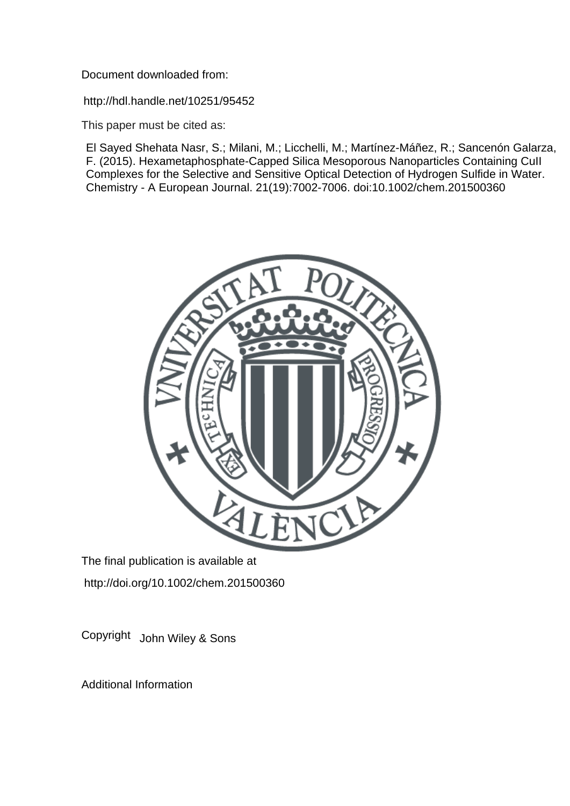Document downloaded from:

http://hdl.handle.net/10251/95452

This paper must be cited as:

El Sayed Shehata Nasr, S.; Milani, M.; Licchelli, M.; Martínez-Máñez, R.; Sancenón Galarza, F. (2015). Hexametaphosphate-Capped Silica Mesoporous Nanoparticles Containing CuII Complexes for the Selective and Sensitive Optical Detection of Hydrogen Sulfide in Water. Chemistry - A European Journal. 21(19):7002-7006. doi:10.1002/chem.201500360



The final publication is available at http://doi.org/10.1002/chem.201500360

Copyright John Wiley & Sons

Additional Information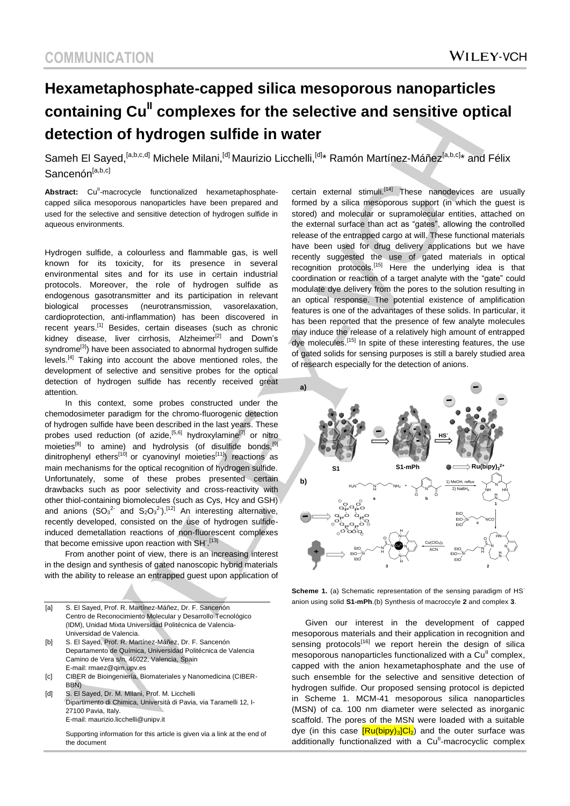## **Hexametaphosphate-capped silica mesoporous nanoparticles containing CuII complexes for the selective and sensitive optical detection of hydrogen sulfide in water**

Sameh El Sayed, <sup>[a,b,c,d]</sup> Michele Milani, <sup>[d]</sup> Maurizio Licchelli, <sup>[d]</sup>\* Ramón Martínez-Máñez<sup>[a,b,c]</sup>\* and Félix Sancenón<sup>[a,b,c]</sup>

Abstract: Cu<sup>il</sup>-macrocycle functionalized hexametaphosphatecapped silica mesoporous nanoparticles have been prepared and used for the selective and sensitive detection of hydrogen sulfide in aqueous environments.

Hydrogen sulfide, a colourless and flammable gas, is well known for its toxicity, for its presence in several environmental sites and for its use in certain industrial protocols. Moreover, the role of hydrogen sulfide as endogenous gasotransmitter and its participation in relevant biological processes (neurotransmission, vasorelaxation, cardioprotection, anti-inflammation) has been discovered in recent years.<sup>[1]</sup> Besides, certain diseases (such as chronic kidney disease, liver cirrhosis, Alzheimer<sup>[2]</sup> and Down's syndrome<sup>[3]</sup>) have been associated to abnormal hydrogen sulfide levels.[4] Taking into account the above mentioned roles, the development of selective and sensitive probes for the optical detection of hydrogen sulfide has recently received great attention.

In this context, some probes constructed under the chemodosimeter paradigm for the chromo-fluorogenic detection of hydrogen sulfide have been described in the last years. These probes used reduction (of azide,<sup>[5,6]</sup> hydroxylamine<sup>[7]</sup> or nitro moieties<sup>[8]</sup> to amine) and hydrolysis (of disulfide bonds,<sup>[9]</sup> dinitrophenyl ethers<sup>[10]</sup> or cyanovinyl moieties<sup>[11]</sup>) reactions as main mechanisms for the optical recognition of hydrogen sulfide. Unfortunately, some of these probes presented certain drawbacks such as poor selectivity and cross-reactivity with other thiol-containing biomolecules (such as Cys, Hcy and GSH) and anions  $(SO_3^2$  and  $S_2O_3^2$ ).<sup>[12]</sup> An interesting alternative, recently developed, consisted on the use of hydrogen sulfideinduced demetallation reactions of non-fluorescent complexes that become emissive upon reaction with SH<sup>-[13]</sup>

From another point of view, there is an increasing interest in the design and synthesis of gated nanoscopic hybrid materials with the ability to release an entrapped guest upon application of

- [c] CIBER de Bioingeniería, Biomateriales y Nanomedicina (CIBER-BBN)
- [d] S. El Sayed, Dr. M. Milani, Prof. M. Licchelli Dipartimento di Chimica, Università di Pavia, via Taramelli 12, I-27100 Pavia, Italy. E-mail[: maurizio.licchelli@unipv.it](mailto:maurizio.licchelli@unipv.it)

Supporting information for this article is given via a link at the end of the document

certain external stimuli.<sup>[14]</sup> These nanodevices are usually formed by a silica mesoporous support (in which the guest is stored) and molecular or supramolecular entities, attached on the external surface than act as "gates", allowing the controlled release of the entrapped cargo at will. These functional materials have been used for drug delivery applications but we have recently suggested the use of gated materials in optical recognition protocols.<sup>[15]</sup> Here the underlying idea is that coordination or reaction of a target analyte with the "gate" could modulate dye delivery from the pores to the solution resulting in an optical response. The potential existence of amplification features is one of the advantages of these solids. In particular, it has been reported that the presence of few analyte molecules may induce the release of a relatively high amount of entrapped dye molecules.[15] In spite of these interesting features, the use of gated solids for sensing purposes is still a barely studied area of research especially for the detection of anions.



**Scheme 1.** (a) Schematic representation of the sensing paradigm of HS<sup>-</sup> anion using solid **S1-mPh**.(b) Synthesis of macroccyle **2** and complex **3**.

Given our interest in the development of capped mesoporous materials and their application in recognition and sensing protocols<sup>[16]</sup> we report herein the design of silical mesoporous nanoparticles functionalized with a Cu<sup>II</sup> complex, capped with the anion hexametaphosphate and the use of such ensemble for the selective and sensitive detection of hydrogen sulfide. Our proposed sensing protocol is depicted in Scheme 1. MCM-41 mesoporous silica nanoparticles (MSN) of ca. 100 nm diameter were selected as inorganic scaffold. The pores of the MSN were loaded with a suitable dye (in this case  $\frac{[Ru(bipy)_3]Ch]}{Ch}$  and the outer surface was additionally functionalized with a Cu<sup>ll</sup>-macrocyclic complex

<sup>[</sup>a] S. El Sayed, Prof. R. Martínez-Máñez, Dr. F. Sancenón Centro de Reconocimiento Molecular y Desarrollo Tecnológico (IDM), Unidad Mixta Universidad Politécnica de Valencia-Universidad de Valencia.

<sup>[</sup>b] S. El Sayed, Prof. R. Martínez-Máñez, Dr. F. Sancenón Departamento de Química, Universidad Politécnica de Valencia Camino de Vera s/n, 46022, Valencia, Spain E-mail[: rmaez@qim.upv.es](mailto:rmaez@qim.upv.es)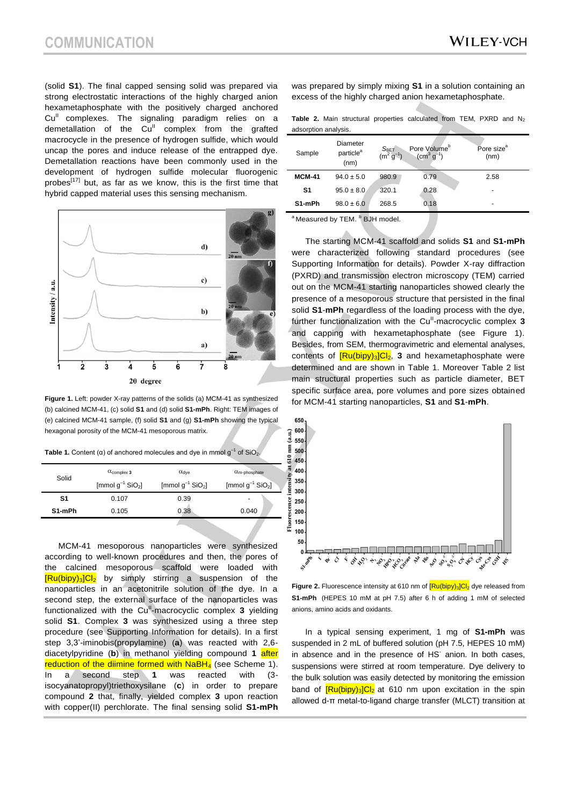(solid **S1**). The final capped sensing solid was prepared via strong electrostatic interactions of the highly charged anion hexametaphosphate with the positively charged anchored Cu<sup>II</sup> complexes. The signaling paradigm relies on a demetallation of the  $Cu<sup>II</sup>$  complex from the grafted macrocycle in the presence of hydrogen sulfide, which would uncap the pores and induce release of the entrapped dye. Demetallation reactions have been commonly used in the development of hydrogen sulfide molecular fluorogenic probes $[17]$  but, as far as we know, this is the first time that hybrid capped material uses this sensing mechanism.



**Figure 1.** Left: powder X-ray patterns of the solids (a) MCM-41 as synthesized (b) calcined MCM-41, (c) solid **S1** and (d) solid **S1-mPh**. Right: TEM images of (e) calcined MCM-41 sample, (f) solid **S1** and (g) **S1-mPh** showing the typical hexagonal porosity of the MCM-41 mesoporous matrix.

Table 1. Content ( $\alpha$ ) of anchored molecules and dye in mmol  $g^{-1}$  of SiO<sub>2</sub>.

| Solid  | $\alpha$ <sub>complex</sub> 3     | $\alpha_{\text{dye}}$             | $\alpha$ <sub>m-phosphate</sub>   |
|--------|-----------------------------------|-----------------------------------|-----------------------------------|
|        | [mmol $g^{-1}$ SiO <sub>2</sub> ] | [mmol $g^{-1}$ SiO <sub>2</sub> ] | [mmol $g^{-1}$ SiO <sub>2</sub> ] |
| S1     | 0.107                             | 0.39                              | $\overline{\phantom{0}}$          |
| S1-mPh | 0.105                             | 0.38                              | 0.040                             |
|        |                                   |                                   |                                   |

MCM-41 mesoporous nanoparticles were synthesized according to well-known procedures and then, the pores of the calcined mesoporous scaffold were loaded with  $[Ru(bipy)_3]Cl_2$  by simply stirring a suspension of the nanoparticles in an acetonitrile solution of the dye. In a second step, the external surface of the nanoparticles was functionalized with the Cu<sup>ll</sup>-macrocyclic complex 3 yielding solid **S1**. Complex **3** was synthesized using a three step procedure (see Supporting Information for details). In a first step 3,3'-iminobis(propylamine) (**a**) was reacted with 2,6 diacetylpyridine (**b**) in methanol yielding compound **1** after reduction of the diimine formed with NaBH<sub>4</sub> (see Scheme 1). In a second step **1** was reacted with (3 isocyanatopropyl)triethoxysilane (**c**) in order to prepare compound **2** that, finally, yielded complex **3** upon reaction with copper(II) perchlorate. The final sensing solid **S1-mPh**

was prepared by simply mixing **S1** in a solution containing an excess of the highly charged anion hexametaphosphate.

**Table 2.** Main structural properties calculated from TEM, PXRD and  $N_2$ adsorption analysis.

| Sample        | Diameter<br>particle <sup>a</sup><br>(nm) | $S_{\text{BET}}$<br>(m <sup>2</sup> c | Pore Volume <sup>b</sup><br>$(cm3 g-1)$ | Pore size <sup>a</sup><br>(nm) |
|---------------|-------------------------------------------|---------------------------------------|-----------------------------------------|--------------------------------|
| <b>MCM-41</b> | $94.0 \pm 5.0$                            | 980.9                                 | 0.79                                    | 2.58                           |
| S1            | $95.0 \pm 8.0$                            | 320.1                                 | 0.28                                    | ٠                              |
| S1-mPh        | $98.0 \pm 6.0$                            | 268.5                                 | 0.18                                    | $\overline{\phantom{0}}$       |

<sup>a</sup> Measured by TEM. <sup>b</sup> BJH model.

The starting MCM-41 scaffold and solids **S1** and **S1-mPh** were characterized following standard procedures (see Supporting Information for details). Powder X-ray diffraction (PXRD) and transmission electron microscopy (TEM) carried out on the MCM-41 starting nanoparticles showed clearly the presence of a mesoporous structure that persisted in the final solid **S1**-**mPh** regardless of the loading process with the dye, further functionalization with the Cu<sup>ll</sup>-macrocyclic complex 3 and capping with hexametaphosphate (see Figure 1). Besides, from SEM, thermogravimetric and elemental analyses, contents of  $\frac{[Ru(bipy)]_3|Cl_2}{[Ru(bipy)]_3]}$  and hexametaphosphate were determined and are shown in Table 1. Moreover Table 2 list main structural properties such as particle diameter, BET specific surface area, pore volumes and pore sizes obtained for MCM-41 starting nanoparticles, **S1** and **S1**-**mPh**.



**Figure 2.** Fluorescence intensity at 610 nm of  $\frac{[Ru(bipy)]_3]Cl_2}{[Ru(bidy)]_3]}$  dye released from **S1-mPh** (HEPES 10 mM at pH 7.5) after 6 h of adding 1 mM of selected anions, amino acids and oxidants.

In a typical sensing experiment, 1 mg of **S1-mPh** was suspended in 2 mL of buffered solution (pH 7.5, HEPES 10 mM) in absence and in the presence of HS<sup>-</sup> anion. In both cases, suspensions were stirred at room temperature. Dye delivery to the bulk solution was easily detected by monitoring the emission band of  $\frac{Ru(bipy)}{3|Cl_2}$  at 610 nm upon excitation in the spin allowed d-π metal-to-ligand charge transfer (MLCT) transition at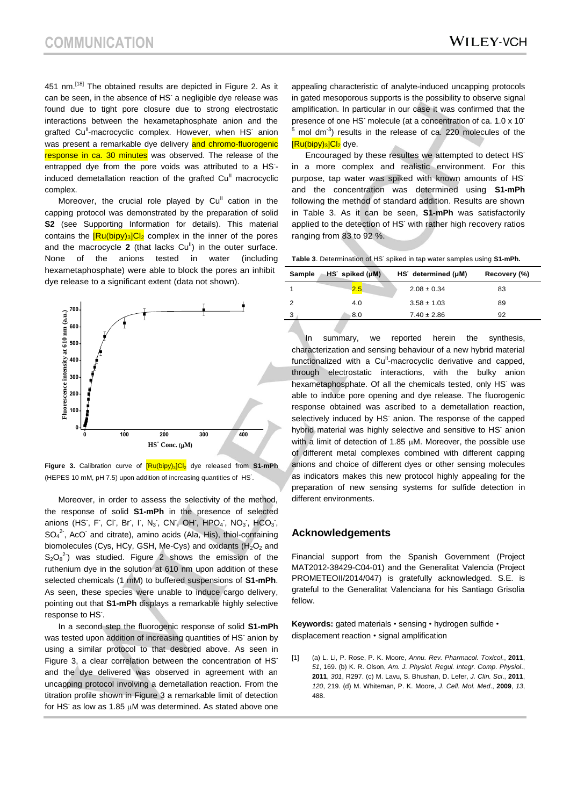451 nm.<sup>[18]</sup> The obtained results are depicted in Figure 2. As it can be seen, in the absence of HS<sup>-</sup> a negligible dye release was found due to tight pore closure due to strong electrostatic interactions between the hexametaphosphate anion and the grafted Cu<sup>ll</sup>-macrocyclic complex. However, when HS<sup>-</sup> anion was present a remarkable dye delivery and chromo-fluorogenic response in ca. 30 minutes was observed. The release of the entrapped dye from the pore voids was attributed to a HS- induced demetallation reaction of the grafted  $Cu<sup>II</sup>$  macrocyclic complex.

Moreover, the crucial role played by  $Cu<sup>II</sup>$  cation in the capping protocol was demonstrated by the preparation of solid **S2** (see Supporting Information for details). This material contains the  $\frac{[Ru(bipy)_3]Cl_2}{[H_2]}$  complex in the inner of the pores and the macrocycle  $2$  (that lacks  $Cu<sup>II</sup>$ ) in the outer surface. None of the anions tested in water (including hexametaphosphate) were able to block the pores an inhibit dye release to a significant extent (data not shown).



**Figure 3.** Calibration curve of  $\frac{[Ru(bipy)_3]Cl_2}{[Ru(bipy)_3]Cl_2}$  dye released from S1-mPh (HEPES 10 mM, pH 7.5) upon addition of increasing quantities of HS- .

Moreover, in order to assess the selectivity of the method, the response of solid **S1-mPh** in the presence of selected anions (HS, F, Cl, Br, I, N<sub>3</sub>, CN, OH, HPO<sub>4</sub>, NO<sub>3</sub>, HCO<sub>3</sub>, SO<sub>4</sub><sup>2</sup>, AcO<sup>-</sup> and citrate), amino acids (Ala, His), thiol-containing biomolecules (Cys, HCy, GSH, Me-Cys) and oxidants  $(H<sub>2</sub>O<sub>2</sub>$  and  $S_2O_8^2$  was studied. Figure 2 shows the emission of the ruthenium dye in the solution at 610 nm upon addition of these selected chemicals (1 mM) to buffered suspensions of **S1-mPh**. As seen, these species were unable to induce cargo delivery, pointing out that **S1-mPh** displays a remarkable highly selective response to HS<sup>-</sup>.

In a second step the fluorogenic response of solid **S1-mPh** was tested upon addition of increasing quantities of HS<sup>-</sup> anion by using a similar protocol to that descried above. As seen in Figure 3, a clear correlation between the concentration of HS<sup>-</sup> and the dye delivered was observed in agreement with an uncapping protocol involving a demetallation reaction. From the titration profile shown in Figure 3 a remarkable limit of detection for HS<sup>-</sup> as low as 1.85  $\mu$ M was determined. As stated above one appealing characteristic of analyte-induced uncapping protocols in gated mesoporous supports is the possibility to observe signal amplification. In particular in our case it was confirmed that the presence of one HS<sup>-</sup> molecule (at a concentration of ca. 1.0 x 10<sup>-</sup>  $5$  mol dm<sup>-3</sup>) results in the release of ca. 220 molecules of the **[Ru(bipy)3]Cl<sub>2</sub>** dve.

Encouraged by these resultes we attempted to detect HSin a more complex and realistic environment. For this purpose, tap water was spiked with known amounts of HS<sup>-</sup> and the concentration was determined using **S1-mPh** following the method of standard addition. Results are shown in Table 3. As it can be seen, **S1-mPh** was satisfactorily applied to the detection of HS<sup>-</sup> with rather high recovery ratios ranging from 83 to 92 %.

| Table 3. Determination of HS <sup>-</sup> spiked in tap water samples using <b>S1-mPh.</b> |  |  |
|--------------------------------------------------------------------------------------------|--|--|
|--------------------------------------------------------------------------------------------|--|--|

| Sample | $HS$ spiked $(\mu M)$ | $HS$ determined ( $\mu$ M) | Recovery (%) |
|--------|-----------------------|----------------------------|--------------|
|        | 2.5                   | $2.08 \pm 0.34$            | 83           |
| 2      | 4.0                   | $3.58 \pm 1.03$            | 89           |
| 3      | 8.0                   | $7.40 \pm 2.86$            | 92           |

In summary, we reported herein the synthesis, characterization and sensing behaviour of a new hybrid material functionalized with a Cu<sup>ll</sup>-macrocyclic derivative and capped, through electrostatic interactions, with the bulky anion hexametaphosphate. Of all the chemicals tested, only HS<sup>-</sup> was able to induce pore opening and dye release. The fluorogenic response obtained was ascribed to a demetallation reaction, selectively induced by HS<sup>-</sup> anion. The response of the capped hybrid material was highly selective and sensitive to HS<sup>-</sup> anion with a limit of detection of 1.85  $\mu$ M. Moreover, the possible use of different metal complexes combined with different capping anions and choice of different dyes or other sensing molecules as indicators makes this new protocol highly appealing for the preparation of new sensing systems for sulfide detection in different environments.

## **Acknowledgements**

Financial support from the Spanish Government (Project MAT2012-38429-C04-01) and the Generalitat Valencia (Project PROMETEOII/2014/047) is gratefully acknowledged. S.E. is grateful to the Generalitat Valenciana for his Santiago Grisolia fellow.

**Keywords:** gated materials • sensing • hydrogen sulfide • displacement reaction • signal amplification

[1] (a) L. Li, P. Rose, P. K. Moore, *Annu. Rev. Pharmacol. Toxicol*., **2011**, *51*, 169. (b) K. R. Olson, *Am. J. Physiol. Regul. Integr. Comp. Physiol*., **2011**, *301*, R297. (c) M. Lavu, S. Bhushan, D. Lefer, *J. Clin. Sci*., **2011**, *120*, 219. (d) M. Whiteman, P. K. Moore, *J. Cell. Mol. Med*., **2009**, *13*, 488.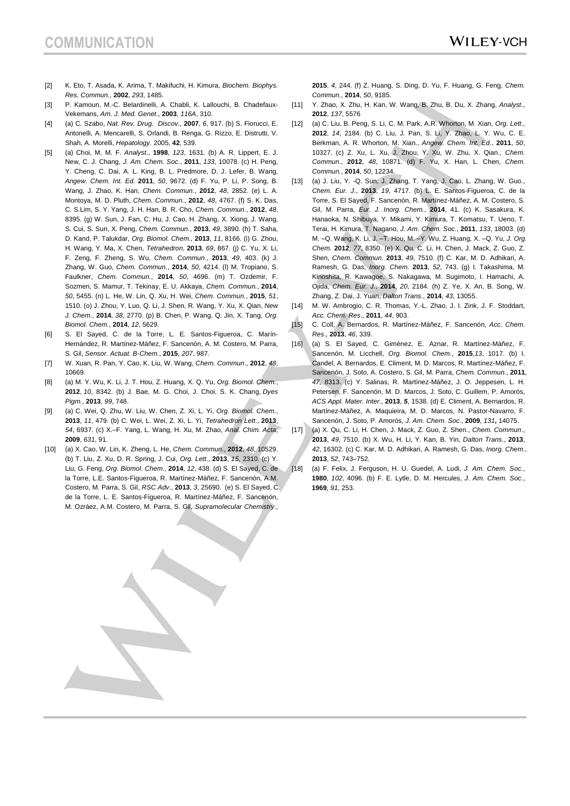- [2] K. Eto, T. Asada, K. Arima, T. Makifuchi, H. Kimura, *Biochem. Biophys. Res. Commun.*, **2002**, *293*, 1485.
- [3] P. Kamoun, M.-C. Belardinelli, A. Chabli, K. Lallouchi, B. Chadefaux-Vekemans, *Am. J. Med. Genet*., **2003**, *116A*, 310.
- [4] (a) C. Szabo, *Nat. Rev. Drug. Discov.,* **2007**, *6*, 917. (b) S. Fiorucci, E. Antonelli, A. Mencarelli, S. Orlandi, B. Renga, G. Rizzo, E. Distrutti, V. Shah, A. Morelli, *Hepatology.* 2005, **42**, 539.
- [5] (a) Choi, M. M. F. *Analyst*., **1998**, *123*, 1631. (b) A. R. Lippert, E. J. New, C. J. Chang, *J. Am. Chem. Soc*., **2011**, *133*, 10078. (c) H. Peng, Y. Cheng, C. Dai, A. L. King, B. L. Predmore, D. J. Lefer, B. Wang, *Angew. Chem. Int. Ed.* **2011**, *50*, 9672. (d) F. Yu, P. Li, P. Song, B. Wang, J. Zhao, K. Han, *Chem. Commun.*, **2012**, *48*, 2852. (e) L. A. Montoya, M. D. Pluth, *Chem. Commun.*, **2012**, *48*, 4767. (f) S. K. Das, C. S.Lim, S. Y. Yang, J. H. Han, B. R. Cho, *Chem. Commun.*, **2012**, *48*, 8395. (g) W. Sun, J. Fan, C. Hu, J. Cao, H. Zhang, X. Xiong, J. Wang, S. Cui, S. Sun, X. Peng, *Chem. Commun.*, **2013**, *49*, 3890. (h) T. Saha, D. Kand, P. Talukdar, *Org. Biomol. Chem.,* **2013**, *11*, 8166. (i) G. Zhou, H. Wang, Y. Ma, X. Chen, *Tetrahedron*, **2013**, *69*, 867. (j) C. Yu, X. Li, F. Zeng, F. Zheng, S. Wu, *Chem. Commun.*, **2013**, *49*, 403. (k) J. Zhang, W. Guo, *Chem. Commun.*, **2014**, *50*, 4214. (l) M. Tropiano, S. Faulkner, *Chem. Commun.*, **2014**, *50*, 4696. (m) T. Ozdemir, F. Sozmen, S. Mamur, T. Tekinay, E. U. Akkaya, *Chem. Commun.*, **2014**, *50*, 5455. (n) L. He, W. Lin, Q. Xu, H. Wei, *Chem. Commun.*, **2015**, *51*, 1510. (o) J. Zhou, Y. Luo, Q. Li, J. Shen, R. Wang, Y. Xu, X. Qian, *New J. Chem.*, **2014**, *38*, 2770. (p) B. Chen, P. Wang, Q. Jin, X. Tang, *Org. Biomol. Chem.*, **2014**, *12*, 5629.
- [6] S. El Sayed, C. de la Torre, L. E. Santos-Figueroa, C. Marín-Hernández, R. Martínez-Máñez, F. Sancenón, A. M. Costero, M. Parra, S. Gil, *Sensor. Actuat. B-Chem.*, **2015**, *207*, 987.
- [7] W. Xuan, R. Pan, Y. Cao, K. Liu, W. Wang, *Chem. Commun*., **2012**, *48*, 10669.
- [8] (a) M. Y. Wu, K. Li, J. T. Hou, Z. Huang, X. Q. Yu, *Org. Biomol. Chem.*, **2012**, *10*, 8342. (b) J. Bae, M. G. Choi, J. Choi, S. K. Chang, *Dyes Pigm.*, **2013**, *99*, 748.
- [9] (a) C. Wei, Q. Zhu, W. Liu, W. Chen, Z. Xi, L. Yi, *Org. Biomol. Chem*., **2013**, *11*, 479. (b) C. Wei, L. Wei, Z. Xi, L. Yi, *Tetrahedron Lett*., **2013**, *54*, 6937. (c) X.–F. Yang, L. Wang, H. Xu, M. Zhao, *Anal. Chim. Acta*, **2009**, *631*, 91.
- [10] (a) X. Cao, W. Lin, K. Zheng, L. He, *Chem. Commun*., **2012**, *48*, 10529. (b) T. Liu, Z. Xu, D. R. Spring, J. Cui, *Org. Lett*., **2013**, *15*, 2310. (c) Y. Liu, G. Feng, *Org. Biomol*. *Chem*., **2014**, *12*, 438. (d) S. El Sayed, C. de la Torre, L.E. Santos-Figueroa, R. Martínez-Máñez, F. Sancenón, A.M. Costero, M. Parra, S. Gil, *RSC Adv*., **2013**, *3*, 25690. (e) S. El Sayed, C. de la Torre, L. E. Santos-Figueroa, R. Martínez-Máñez, F. Sancenón, M. Ozráez, A.M. Costero, M. Parra, S. Gil, *Supramolecular Chemistry*.,

**2015**, *4*, 244. (f) Z. Huang, S. Ding, D. Yu, F. Huang, G. Feng, *Chem. Commun.*, **2014**, *50*, 9185.

- [11] Y. Zhao, X. Zhu, H. Kan, W. Wang, B. Zhu, B. Du, X. Zhang, *Analyst*., **2012**, *137*, 5576
- [12] (a) C. Liu, B. Peng, S. Li, C. M. Park, A.R. Whorton, M. Xian, *Org. Lett*., **2012**, *14*, 2184. (b) C. Liu, J. Pan, S. Li, Y. Zhao, L. Y. Wu, C. E. Berkman, A. R. Whorton, M. Xian., *Angew. Chem. Int. Ed*., **2011**, *50*, 10327. (c) Z. Xu, L. Xu, J. Zhou, Y. Xu, W. Zhu, X. Qian., *Chem. Commun*., **2012**, *48*, 10871. (d) F. Yu, X. Han, L. Chen, *Chem. Commun.*, **2014**, *50*, 12234.
- [13] (a) J. Liu, Y. -Q. Sun, J. Zhang, T. Yang, J. Cao, L. Zhang, W. Guo., *Chem. Eur. J*., **2013**, *19*, 4717. (b) L. E. Santos-Figueroa, C. de la Torre, S. El Sayed, F. Sancenón, R. Martínez-Máñez, A. M. Costero, S. Gil, M. Parra, *Eur. J. Inorg. Chem.*, **2014**, 41. (c) K. Sasakura, K. Hanaoka, N. Shibuya, Y. Mikami, Y. Kimura, T. Komatsu, T. Ueno, T. Terai, H. Kimura, T. Nagano, *J. Am. Chem. Soc.*, **2011**, *133*, 18003. (d) M. –Q. Wang, K. Li, J. –T. Hou, M. –Y. Wu, Z. Huang, X. –Q. Yu, *J. Org. Chem.* **2012**, *77*, 8350. (e) X. Qu, C. Li, H. Chen, J. Mack, Z. Guo, Z. Shen, *Chem. Commun.* **2013**, *49*, 7510. (f) C. Kar, M. D. Adhikari, A. Ramesh, G. Das, *Inorg. Chem.* **2013**, *52*, 743. (g) I. Takashima, M. Kinoshita, R. Kawagoe, S. Nakagawa, M. Sugimoto, I. Hamachi, A. Ojida, *Chem. Eur. J.*, **2014**, *20*, 2184. (h) Z. Ye, X. An, B. Song, W. Zhang, Z. Dai, J. Yuan, *Dalton Trans.*, **2014**, *43*, 13055.
- [14] M. W. Ambrogio, C. R. Thomas, Y.-L. Zhao, J. I. Zink, J. F. Stoddart, *Acc. Chem. Res*., **2011**, *44*, 903.
- [15] C. Coll, A. Bernardos, R. Martínez-Máñez, F. Sancenón, *Acc. Chem. Res*., **2013**, *46*, 339.
- [16] (a) S. El Sayed, C. Giménez, E. Aznar, R. Martínez-Máñez, F. Sancenón, M. Licchell, *Org. Biomol. Chem.*, **2015**,*13*, 1017. (b) I. Candel, A. Bernardos, E. Climent, M. D. Marcos, R. Martínez-Máñez, F. Sancenón, J. Soto, A. Costero, S. Gil, M. Parra, *Chem. Commun*., **2011**, *47*, 8313. (c) Y. Salinas, R. Martínez-Máñez, J. O. Jeppesen, L. H. Petersen, F. Sancenón, M. D. Marcos, J. Soto, C. Guillem, P. Amorós, *ACS Appl. Mater. Inter.*, **2013**, *5*, 1538. (d) E. Climent, A. Bernardos, R. Martínez-Máñez, A. Maquieira, M. D. Marcos, N. Pastor-Navarro, F. Sancenón, J. Soto, P. Amorós*, J. Am. Chem. Soc*., **2009**, *131***,** 14075.
- [17] (a) X. Qu, C. Li, H. Chen, J. Mack, Z. Guo, Z. Shen., *Chem. Commun*., **2013**, *49*, 7510. (b) X. Wu, H. Li, Y. Kan, B. Yin, *Dalton Trans*., **2013**, *42*, 16302. (c) C. Kar, M. D. Adhikari, A. Ramesh, G. Das, *Inorg. Chem*., **2013**, *52*, 743–752.
- [18] (a) F. Felix, J. Ferguson, H. U. Guedel, A. Ludi, *J. Am. Chem. Soc.*, **1980**, *102*, 4096. (b) F. E. Lytle, D. M. Hercules, *J. Am. Chem. Soc.*, **1969**, *91*, 253.